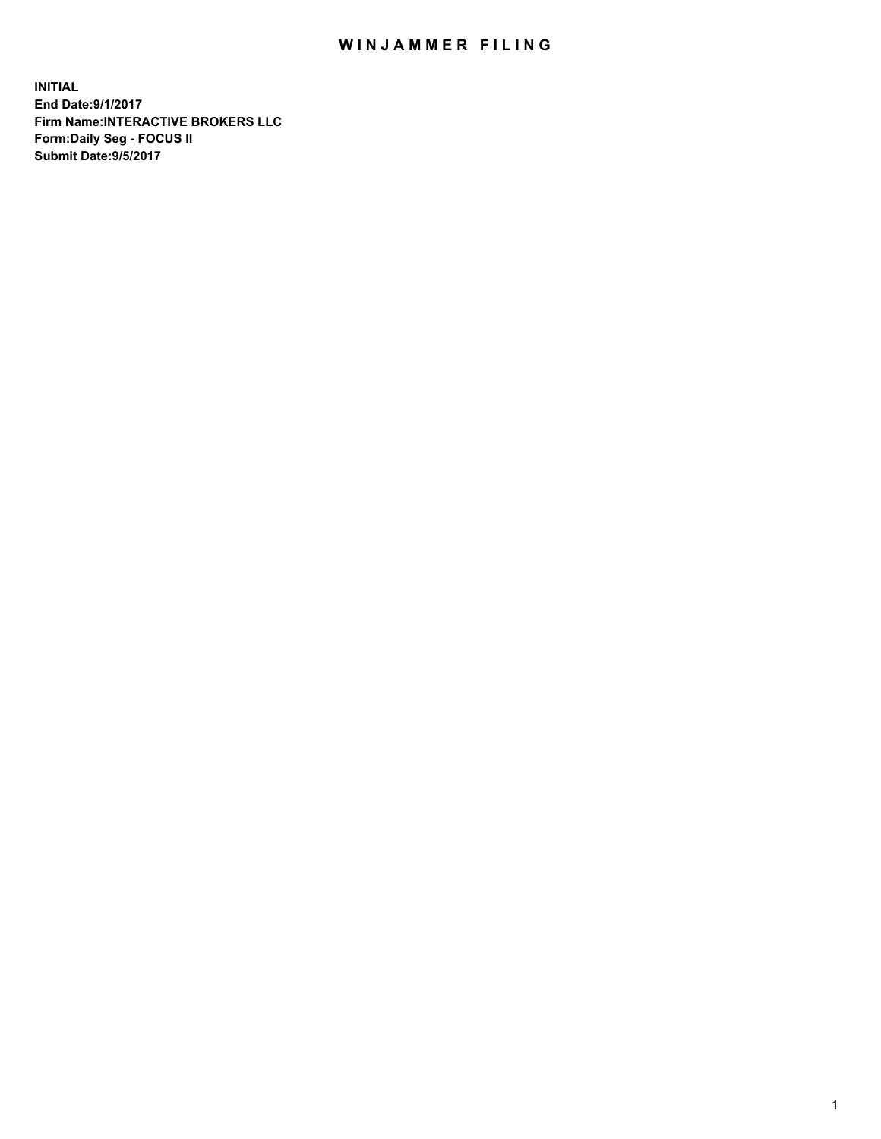## WIN JAMMER FILING

**INITIAL End Date:9/1/2017 Firm Name:INTERACTIVE BROKERS LLC Form:Daily Seg - FOCUS II Submit Date:9/5/2017**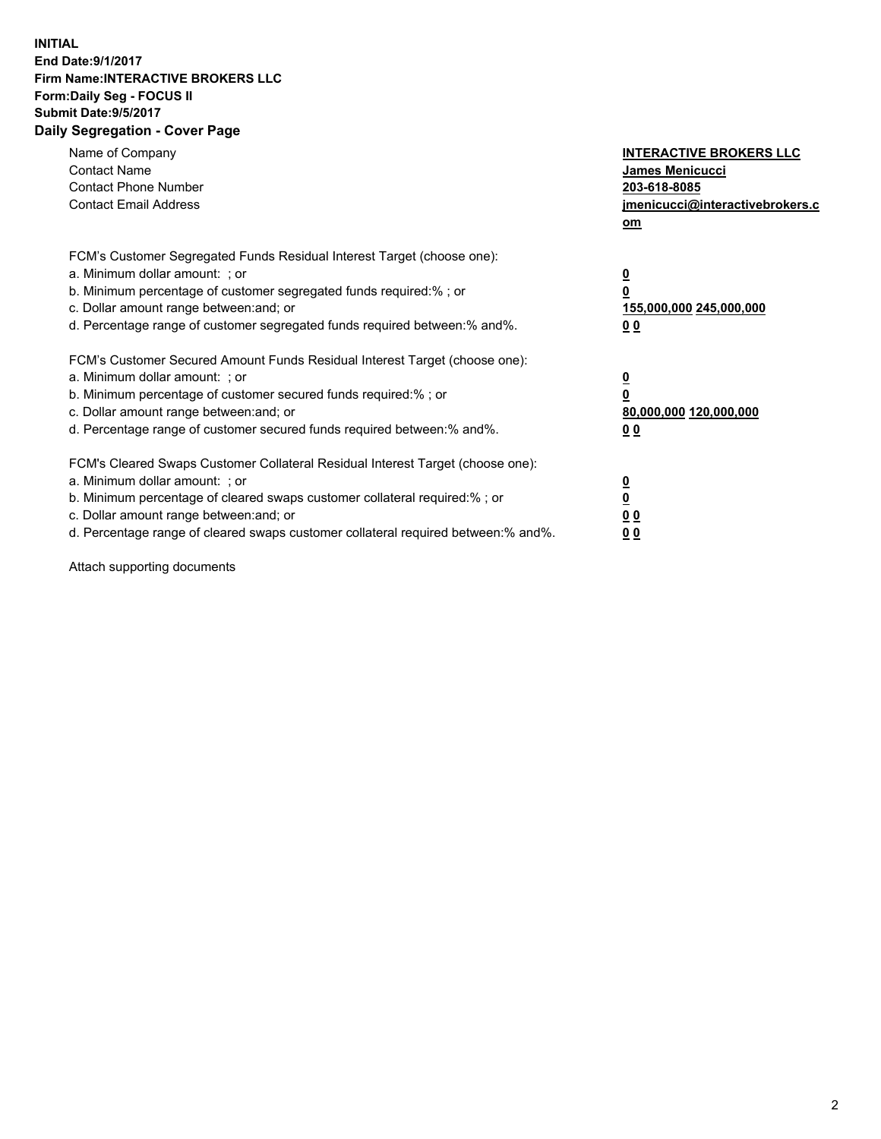## **INITIAL End Date:9/1/2017 Firm Name:INTERACTIVE BROKERS LLC Form:Daily Seg - FOCUS II Submit Date:9/5/2017 Daily Segregation - Cover Page**

| Name of Company<br><b>Contact Name</b><br><b>Contact Phone Number</b><br><b>Contact Email Address</b>                                                                                                                                                                                                                          | <b>INTERACTIVE BROKERS LLC</b><br>James Menicucci<br>203-618-8085<br>jmenicucci@interactivebrokers.c<br>om |
|--------------------------------------------------------------------------------------------------------------------------------------------------------------------------------------------------------------------------------------------------------------------------------------------------------------------------------|------------------------------------------------------------------------------------------------------------|
| FCM's Customer Segregated Funds Residual Interest Target (choose one):<br>a. Minimum dollar amount: ; or<br>b. Minimum percentage of customer segregated funds required:%; or<br>c. Dollar amount range between: and; or<br>d. Percentage range of customer segregated funds required between:% and%.                          | $\overline{\mathbf{0}}$<br>$\overline{\mathbf{0}}$<br>155,000,000 245,000,000<br>00                        |
| FCM's Customer Secured Amount Funds Residual Interest Target (choose one):<br>a. Minimum dollar amount: ; or<br>b. Minimum percentage of customer secured funds required:%; or<br>c. Dollar amount range between: and; or<br>d. Percentage range of customer secured funds required between: % and %.                          | $\overline{\mathbf{0}}$<br>0<br>80,000,000 120,000,000<br>00                                               |
| FCM's Cleared Swaps Customer Collateral Residual Interest Target (choose one):<br>a. Minimum dollar amount: ; or<br>b. Minimum percentage of cleared swaps customer collateral required:% ; or<br>c. Dollar amount range between: and; or<br>d. Percentage range of cleared swaps customer collateral required between:% and%. | $\overline{\mathbf{0}}$<br>$\underline{\mathbf{0}}$<br>0 <sub>0</sub><br>0 <sub>0</sub>                    |

Attach supporting documents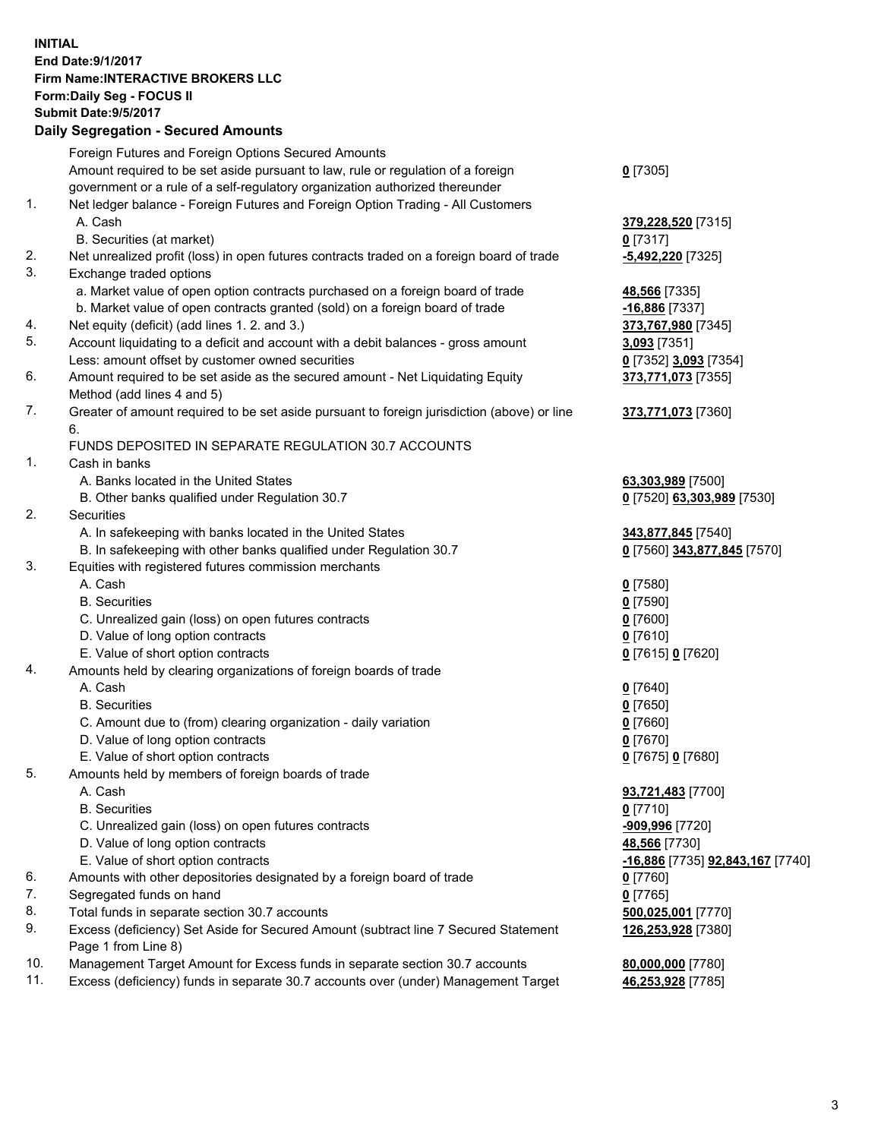## **INITIAL End Date:9/1/2017 Firm Name:INTERACTIVE BROKERS LLC Form:Daily Seg - FOCUS II Submit Date:9/5/2017 Daily Segregation - Secured Amounts**

|     | Daily Ocglegation - Occuled Amounts                                                                        |                                  |
|-----|------------------------------------------------------------------------------------------------------------|----------------------------------|
|     | Foreign Futures and Foreign Options Secured Amounts                                                        |                                  |
|     | Amount required to be set aside pursuant to law, rule or regulation of a foreign                           | $0$ [7305]                       |
|     | government or a rule of a self-regulatory organization authorized thereunder                               |                                  |
| 1.  | Net ledger balance - Foreign Futures and Foreign Option Trading - All Customers                            |                                  |
|     | A. Cash                                                                                                    | 379,228,520 [7315]               |
|     | B. Securities (at market)                                                                                  | $0$ [7317]                       |
| 2.  | Net unrealized profit (loss) in open futures contracts traded on a foreign board of trade                  | -5,492,220 [7325]                |
| 3.  | Exchange traded options                                                                                    |                                  |
|     | a. Market value of open option contracts purchased on a foreign board of trade                             | 48,566 [7335]                    |
|     | b. Market value of open contracts granted (sold) on a foreign board of trade                               | $-16,886$ [7337]                 |
| 4.  | Net equity (deficit) (add lines 1. 2. and 3.)                                                              | 373,767,980 [7345]               |
| 5.  | Account liquidating to a deficit and account with a debit balances - gross amount                          | 3,093 [7351]                     |
|     | Less: amount offset by customer owned securities                                                           | 0 [7352] 3,093 [7354]            |
| 6.  | Amount required to be set aside as the secured amount - Net Liquidating Equity                             | 373,771,073 [7355]               |
|     | Method (add lines 4 and 5)                                                                                 |                                  |
| 7.  | Greater of amount required to be set aside pursuant to foreign jurisdiction (above) or line                | 373,771,073 [7360]               |
|     | 6.                                                                                                         |                                  |
|     | FUNDS DEPOSITED IN SEPARATE REGULATION 30.7 ACCOUNTS                                                       |                                  |
| 1.  | Cash in banks                                                                                              |                                  |
|     | A. Banks located in the United States                                                                      | 63,303,989 [7500]                |
|     | B. Other banks qualified under Regulation 30.7                                                             | 0 [7520] 63,303,989 [7530]       |
| 2.  | Securities                                                                                                 |                                  |
|     | A. In safekeeping with banks located in the United States                                                  | 343,877,845 [7540]               |
|     | B. In safekeeping with other banks qualified under Regulation 30.7                                         | 0 [7560] 343,877,845 [7570]      |
| 3.  | Equities with registered futures commission merchants                                                      |                                  |
|     | A. Cash                                                                                                    | $0$ [7580]                       |
|     | <b>B.</b> Securities                                                                                       | $0$ [7590]                       |
|     | C. Unrealized gain (loss) on open futures contracts                                                        | $0$ [7600]                       |
|     | D. Value of long option contracts                                                                          | $0$ [7610]                       |
|     | E. Value of short option contracts                                                                         | 0 [7615] 0 [7620]                |
| 4.  | Amounts held by clearing organizations of foreign boards of trade                                          |                                  |
|     | A. Cash                                                                                                    | $0$ [7640]                       |
|     | <b>B.</b> Securities                                                                                       | $0$ [7650]                       |
|     | C. Amount due to (from) clearing organization - daily variation                                            | $0$ [7660]                       |
|     | D. Value of long option contracts                                                                          | $0$ [7670]                       |
|     | E. Value of short option contracts                                                                         | 0 [7675] 0 [7680]                |
| 5.  | Amounts held by members of foreign boards of trade                                                         |                                  |
|     | A. Cash                                                                                                    | 93,721,483 [7700]                |
|     | <b>B.</b> Securities                                                                                       | $0$ [7710]                       |
|     | C. Unrealized gain (loss) on open futures contracts                                                        | -909,996 [7720]                  |
|     | D. Value of long option contracts                                                                          | 48,566 [7730]                    |
|     | E. Value of short option contracts                                                                         | -16,886 [7735] 92,843,167 [7740] |
| 6.  | Amounts with other depositories designated by a foreign board of trade                                     | 0 [7760]                         |
| 7.  | Segregated funds on hand                                                                                   | $0$ [7765]                       |
| 8.  | Total funds in separate section 30.7 accounts                                                              | 500,025,001 [7770]               |
| 9.  | Excess (deficiency) Set Aside for Secured Amount (subtract line 7 Secured Statement<br>Page 1 from Line 8) | 126,253,928 [7380]               |
| 10. | Management Target Amount for Excess funds in separate section 30.7 accounts                                | 80,000,000 [7780]                |
| 11. | Excess (deficiency) funds in separate 30.7 accounts over (under) Management Target                         | 46,253,928 [7785]                |
|     |                                                                                                            |                                  |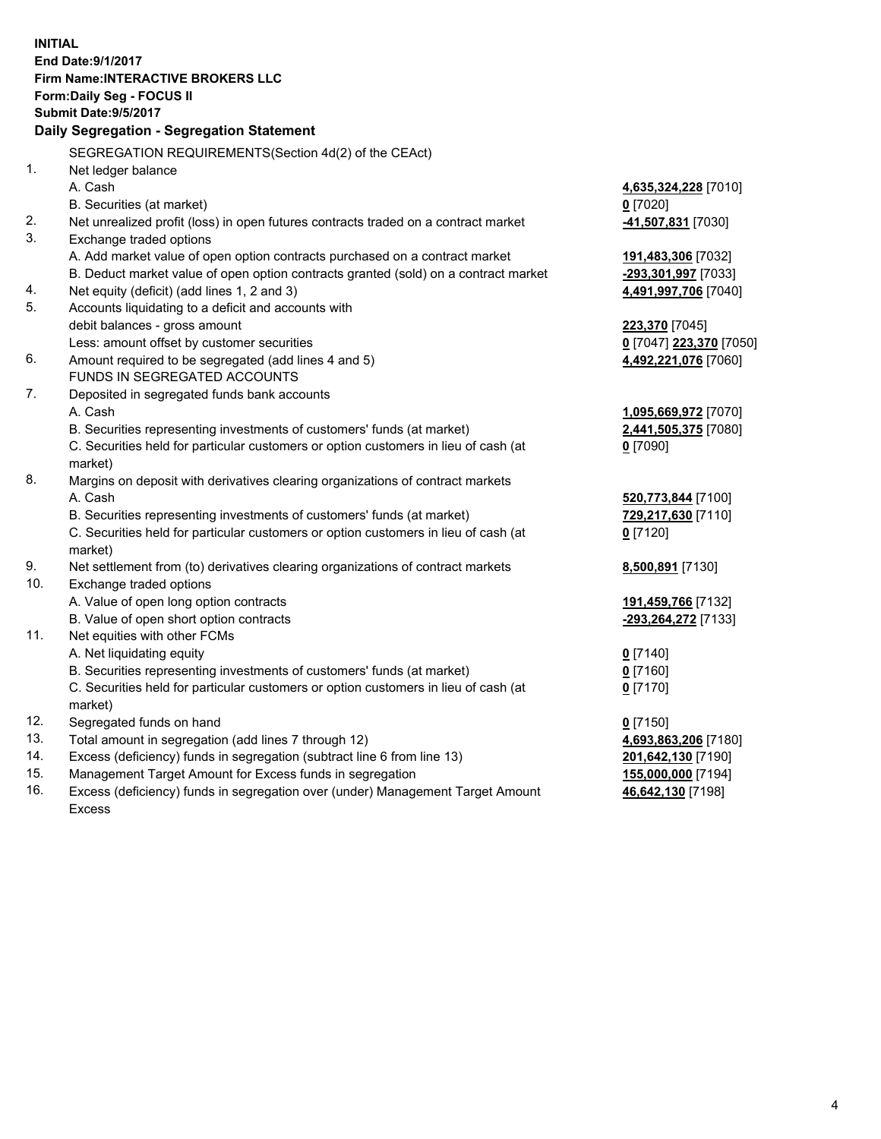**INITIAL End Date:9/1/2017 Firm Name:INTERACTIVE BROKERS LLC Form:Daily Seg - FOCUS II Submit Date:9/5/2017 Daily Segregation - Segregation Statement** SEGREGATION REQUIREMENTS(Section 4d(2) of the CEAct) 1. Net ledger balance A. Cash **4,635,324,228** [7010] B. Securities (at market) **0** [7020] 2. Net unrealized profit (loss) in open futures contracts traded on a contract market **-41,507,831** [7030] 3. Exchange traded options A. Add market value of open option contracts purchased on a contract market **191,483,306** [7032] B. Deduct market value of open option contracts granted (sold) on a contract market **-293,301,997** [7033] 4. Net equity (deficit) (add lines 1, 2 and 3) **4,491,997,706** [7040] 5. Accounts liquidating to a deficit and accounts with debit balances - gross amount **223,370** [7045] Less: amount offset by customer securities **0** [7047] **223,370** [7050] 6. Amount required to be segregated (add lines 4 and 5) **4,492,221,076** [7060] FUNDS IN SEGREGATED ACCOUNTS 7. Deposited in segregated funds bank accounts A. Cash **1,095,669,972** [7070] B. Securities representing investments of customers' funds (at market) **2,441,505,375** [7080] C. Securities held for particular customers or option customers in lieu of cash (at market) **0** [7090] 8. Margins on deposit with derivatives clearing organizations of contract markets A. Cash **520,773,844** [7100] B. Securities representing investments of customers' funds (at market) **729,217,630** [7110] C. Securities held for particular customers or option customers in lieu of cash (at market) **0** [7120] 9. Net settlement from (to) derivatives clearing organizations of contract markets **8,500,891** [7130] 10. Exchange traded options A. Value of open long option contracts **191,459,766** [7132] B. Value of open short option contracts **-293,264,272** [7133] 11. Net equities with other FCMs A. Net liquidating equity **0** [7140] B. Securities representing investments of customers' funds (at market) **0** [7160] C. Securities held for particular customers or option customers in lieu of cash (at market) **0** [7170] 12. Segregated funds on hand **0** [7150] 13. Total amount in segregation (add lines 7 through 12) **4,693,863,206** [7180] 14. Excess (deficiency) funds in segregation (subtract line 6 from line 13) **201,642,130** [7190] 15. Management Target Amount for Excess funds in segregation **155,000,000** [7194] **46,642,130** [7198]

16. Excess (deficiency) funds in segregation over (under) Management Target Amount Excess